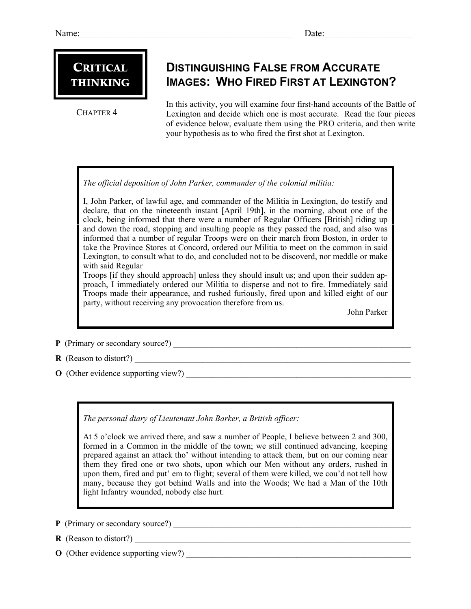## **CRITICAL** THINKING

CHAPTER 4

## **DISTINGUISHING FALSE FROM ACCURATE IMAGES: WHO FIRED FIRST AT LEXINGTON?**

In this activity, you will examine four first-hand accounts of the Battle of Lexington and decide which one is most accurate. Read the four pieces of evidence below, evaluate them using the PRO criteria, and then write your hypothesis as to who fired the first shot at Lexington.

*The official deposition of John Parker, commander of the colonial militia:* 

I, John Parker, of lawful age, and commander of the Militia in Lexington, do testify and declare, that on the nineteenth instant [April 19th], in the morning, about one of the clock, being informed that there were a number of Regular Officers [British] riding up and down the road, stopping and insulting people as they passed the road, and also was informed that a number of regular Troops were on their march from Boston, in order to take the Province Stores at Concord, ordered our Militia to meet on the common in said Lexington, to consult what to do, and concluded not to be discoverd, nor meddle or make with said Regular

Troops [if they should approach] unless they should insult us; and upon their sudden approach, I immediately ordered our Militia to disperse and not to fire. Immediately said Troops made their appearance, and rushed furiously, fired upon and killed eight of our party, without receiving any provocation therefore from us.

John Parker

**P** (Primary or secondary source?)

- **R** (Reason to distort?) \_\_\_\_\_\_\_\_\_\_\_\_\_\_\_\_\_\_\_\_\_\_\_\_\_\_\_\_\_\_\_\_\_\_\_\_\_\_\_\_\_\_\_\_\_\_\_\_\_\_\_\_\_\_\_\_\_\_\_\_\_\_\_\_\_
- **O** (Other evidence supporting view?)

*The personal diary of Lieutenant John Barker, a British officer:* 

At 5 o'clock we arrived there, and saw a number of People, I believe between 2 and 300, formed in a Common in the middle of the town; we still continued advancing, keeping prepared against an attack tho' without intending to attack them, but on our coming near them they fired one or two shots, upon which our Men without any orders, rushed in upon them, fired and put' em to flight; several of them were killed, we cou'd not tell how many, because they got behind Walls and into the Woods; We had a Man of the 10th light Infantry wounded, nobody else hurt.

- **P** (Primary or secondary source?) \_\_\_\_\_\_\_\_\_\_\_\_\_\_\_\_\_\_\_\_\_\_\_\_\_\_\_\_\_\_\_\_\_\_\_\_\_\_\_\_\_\_\_\_\_\_\_\_\_\_\_\_\_\_\_\_
- $R$  (Reason to distort?)
- **O** (Other evidence supporting view?)